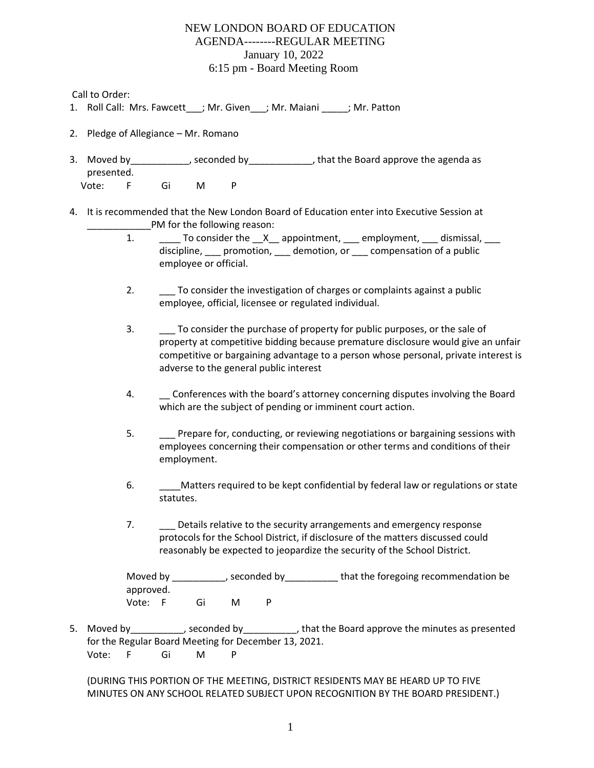Call to Order:

- 1. Roll Call: Mrs. Fawcett ; Mr. Given ; Mr. Maiani ; Mr. Patton
- 2. Pledge of Allegiance Mr. Romano
- 3. Moved by example by seconded by that the Board approve the agenda as presented. Vote: F Gi M P
- 4. It is recommended that the New London Board of Education enter into Executive Session at PM for the following reason:
	- 1. \_\_\_\_\_\_ To consider the \_\_X\_\_ appointment, \_\_\_ employment, \_\_\_ dismissal, \_\_\_ discipline, promotion, demotion, or compensation of a public employee or official.
	- 2. \_\_\_ To consider the investigation of charges or complaints against a public employee, official, licensee or regulated individual.
	- 3. \_\_\_ To consider the purchase of property for public purposes, or the sale of property at competitive bidding because premature disclosure would give an unfair competitive or bargaining advantage to a person whose personal, private interest is adverse to the general public interest
	- 4. \_\_ Conferences with the board's attorney concerning disputes involving the Board which are the subject of pending or imminent court action.
	- 5. \_\_\_ Prepare for, conducting, or reviewing negotiations or bargaining sessions with employees concerning their compensation or other terms and conditions of their employment.
	- 6. \_\_\_\_\_\_\_Matters required to be kept confidential by federal law or regulations or state statutes.
	- 7. Details relative to the security arrangements and emergency response protocols for the School District, if disclosure of the matters discussed could reasonably be expected to jeopardize the security of the School District.

Moved by that the foregoing recommendation be that the foregoing recommendation be approved. Vote: F Gi M P

5. Moved by \_\_\_\_\_\_\_\_\_, seconded by \_\_\_\_\_\_\_\_\_\_, that the Board approve the minutes as presented for the Regular Board Meeting for December 13, 2021. Vote: F Gi M P

(DURING THIS PORTION OF THE MEETING, DISTRICT RESIDENTS MAY BE HEARD UP TO FIVE MINUTES ON ANY SCHOOL RELATED SUBJECT UPON RECOGNITION BY THE BOARD PRESIDENT.)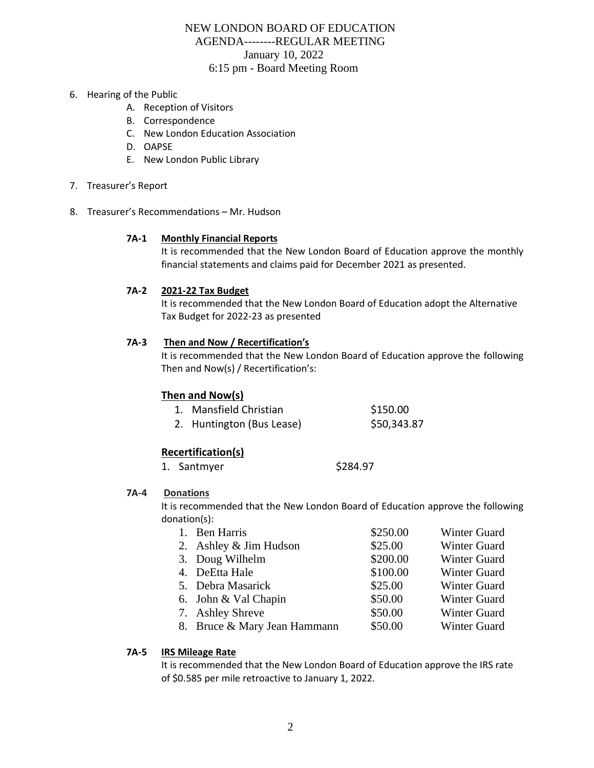- 6. Hearing of the Public
	- A. Reception of Visitors
	- B. Correspondence
	- C. New London Education Association
	- D. OAPSE
	- E. New London Public Library
- 7. Treasurer's Report
- 8. Treasurer's Recommendations Mr. Hudson

## **7A-1 Monthly Financial Reports**

It is recommended that the New London Board of Education approve the monthly financial statements and claims paid for December 2021 as presented.

## **7A-2 2021-22 Tax Budget**

It is recommended that the New London Board of Education adopt the Alternative Tax Budget for 2022-23 as presented

### **7A-3 Then and Now / Recertification's**

It is recommended that the New London Board of Education approve the following Then and Now(s) / Recertification's:

## **Then and Now(s)**

| 1. Mansfield Christian    | \$150.00    |
|---------------------------|-------------|
| 2. Huntington (Bus Lease) | \$50,343.87 |

# **Recertification(s)**

1. Santmyer \$284.97

#### **7A-4 Donations**

It is recommended that the New London Board of Education approve the following donation(s):

| 1. Ben Harris                | \$250.00 | Winter Guard |
|------------------------------|----------|--------------|
| 2. Ashley & Jim Hudson       | \$25.00  | Winter Guard |
| 3. Doug Wilhelm              | \$200.00 | Winter Guard |
| 4. DeEtta Hale               | \$100.00 | Winter Guard |
| 5. Debra Masarick            | \$25.00  | Winter Guard |
| 6. John & Val Chapin         | \$50.00  | Winter Guard |
| 7. Ashley Shreve             | \$50.00  | Winter Guard |
| 8. Bruce & Mary Jean Hammann | \$50.00  | Winter Guard |
|                              |          |              |

## **7A-5 IRS Mileage Rate**

It is recommended that the New London Board of Education approve the IRS rate of \$0.585 per mile retroactive to January 1, 2022.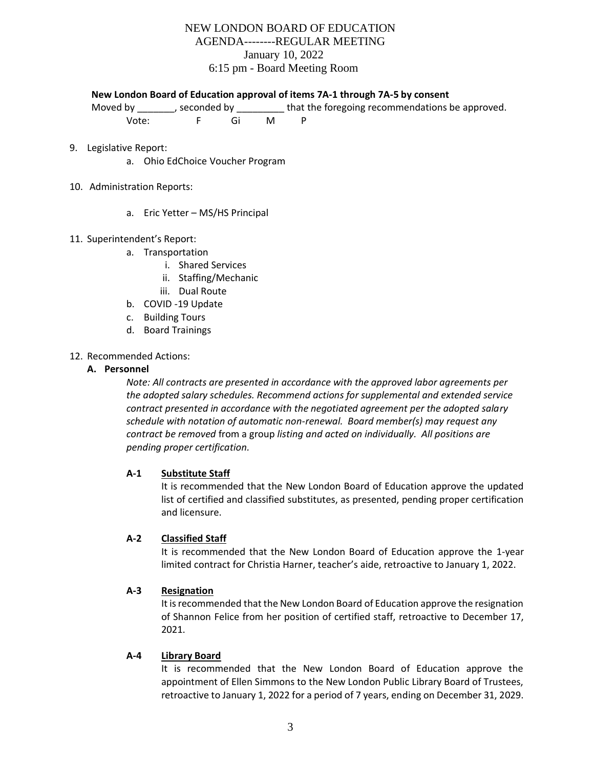#### **New London Board of Education approval of items 7A-1 through 7A-5 by consent**

Moved by \_\_\_\_\_\_, seconded by \_\_\_\_\_\_\_\_ that the foregoing recommendations be approved.

Vote: F Gi M P

- 9. Legislative Report:
	- a. Ohio EdChoice Voucher Program
- 10. Administration Reports:
	- a. Eric Yetter MS/HS Principal
- 11. Superintendent's Report:
	- a. Transportation
		- i. Shared Services
		- ii. Staffing/Mechanic
		- iii. Dual Route
	- b. COVID -19 Update
	- c. Building Tours
	- d. Board Trainings
- 12. Recommended Actions:

### **A. Personnel**

*Note: All contracts are presented in accordance with the approved labor agreements per the adopted salary schedules. Recommend actions for supplemental and extended service contract presented in accordance with the negotiated agreement per the adopted salary schedule with notation of automatic non-renewal. Board member(s) may request any contract be removed* from a group *listing and acted on individually. All positions are pending proper certification.*

## **A-1 Substitute Staff**

It is recommended that the New London Board of Education approve the updated list of certified and classified substitutes, as presented, pending proper certification and licensure.

## **A-2 Classified Staff**

It is recommended that the New London Board of Education approve the 1-year limited contract for Christia Harner, teacher's aide, retroactive to January 1, 2022.

#### **A-3 Resignation**

It is recommended that the New London Board of Education approve the resignation of Shannon Felice from her position of certified staff, retroactive to December 17, 2021.

#### **A-4 Library Board**

It is recommended that the New London Board of Education approve the appointment of Ellen Simmons to the New London Public Library Board of Trustees, retroactive to January 1, 2022 for a period of 7 years, ending on December 31, 2029.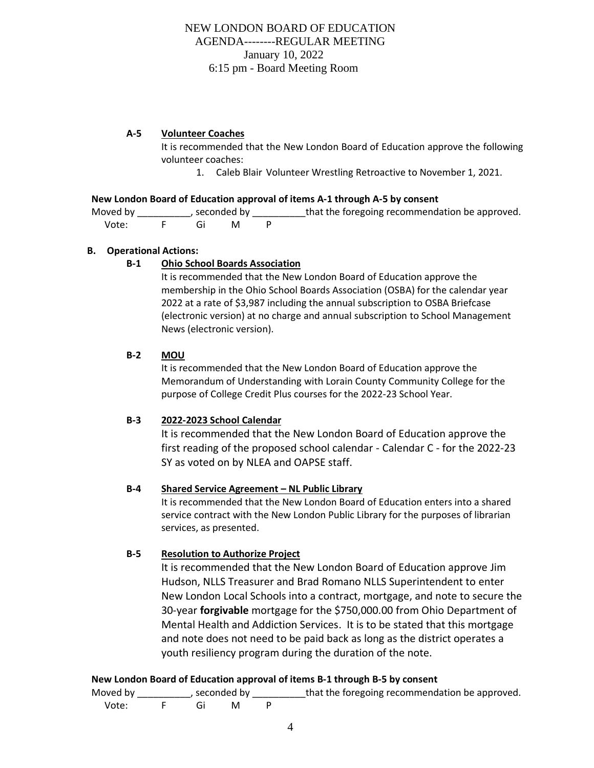## **A-5 Volunteer Coaches**

It is recommended that the New London Board of Education approve the following volunteer coaches:

1. Caleb Blair Volunteer Wrestling Retroactive to November 1, 2021.

### **New London Board of Education approval of items A-1 through A-5 by consent**

Moved by \_\_\_\_\_\_\_\_\_\_\_, seconded by \_\_\_\_\_\_\_\_\_\_that the foregoing recommendation be approved. Vote: F Gi M P

### **B. Operational Actions:**

## **B-1 Ohio School Boards Association**

It is recommended that the New London Board of Education approve the membership in the Ohio School Boards Association (OSBA) for the calendar year 2022 at a rate of \$3,987 including the annual subscription to OSBA Briefcase (electronic version) at no charge and annual subscription to School Management News (electronic version).

### **B-2 MOU**

It is recommended that the New London Board of Education approve the Memorandum of Understanding with Lorain County Community College for the purpose of College Credit Plus courses for the 2022-23 School Year.

## **B-3 2022-2023 School Calendar**

It is recommended that the New London Board of Education approve the first reading of the proposed school calendar - Calendar C - for the 2022-23 SY as voted on by NLEA and OAPSE staff.

## **B-4 Shared Service Agreement – NL Public Library**

It is recommended that the New London Board of Education enters into a shared service contract with the New London Public Library for the purposes of librarian services, as presented.

## **B-5 Resolution to Authorize Project**

It is recommended that the New London Board of Education approve Jim Hudson, NLLS Treasurer and Brad Romano NLLS Superintendent to enter New London Local Schools into a contract, mortgage, and note to secure the 30-year **forgivable** mortgage for the \$750,000.00 from Ohio Department of Mental Health and Addiction Services. It is to be stated that this mortgage and note does not need to be paid back as long as the district operates a youth resiliency program during the duration of the note.

## **New London Board of Education approval of items B-1 through B-5 by consent**

Moved by \_\_\_\_\_\_\_\_\_\_\_, seconded by \_\_\_\_\_\_\_\_\_\_that the foregoing recommendation be approved. Vote: F Gi M P